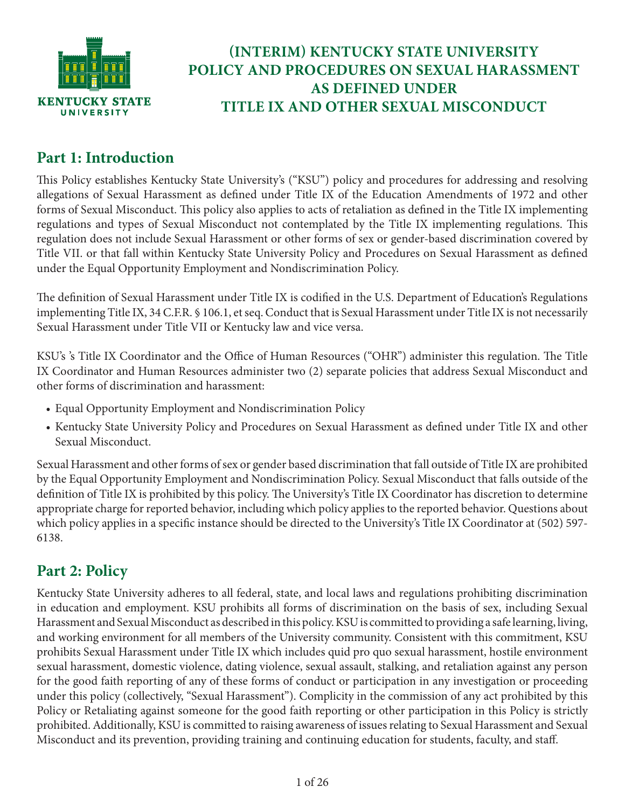

# **(INTERIM) KENTUCKY STATE UNIVERSITY POLICY AND PROCEDURES ON SEXUAL HARASSMENT AS DEFINED UNDER TITLE IX AND OTHER SEXUAL MISCONDUCT**

# **Part 1: Introduction**

This Policy establishes Kentucky State University's ("KSU") policy and procedures for addressing and resolving allegations of Sexual Harassment as defined under Title IX of the Education Amendments of 1972 and other forms of Sexual Misconduct. This policy also applies to acts of retaliation as defined in the Title IX implementing regulations and types of Sexual Misconduct not contemplated by the Title IX implementing regulations. This regulation does not include Sexual Harassment or other forms of sex or gender-based discrimination covered by Title VII. or that fall within Kentucky State University Policy and Procedures on Sexual Harassment as defined under the Equal Opportunity Employment and Nondiscrimination Policy.

The definition of Sexual Harassment under Title IX is codified in the U.S. Department of Education's Regulations implementing Title IX, 34 C.F.R. § 106.1, et seq. Conduct that is Sexual Harassment under Title IX is not necessarily Sexual Harassment under Title VII or Kentucky law and vice versa.

KSU's 's Title IX Coordinator and the Office of Human Resources ("OHR") administer this regulation. The Title IX Coordinator and Human Resources administer two (2) separate policies that address Sexual Misconduct and other forms of discrimination and harassment:

- Equal Opportunity Employment and Nondiscrimination Policy
- Kentucky State University Policy and Procedures on Sexual Harassment as defined under Title IX and other Sexual Misconduct.

Sexual Harassment and other forms of sex or gender based discrimination that fall outside of Title IX are prohibited by the Equal Opportunity Employment and Nondiscrimination Policy. Sexual Misconduct that falls outside of the definition of Title IX is prohibited by this policy. The University's Title IX Coordinator has discretion to determine appropriate charge for reported behavior, including which policy applies to the reported behavior. Questions about which policy applies in a specific instance should be directed to the University's Title IX Coordinator at (502) 597-6138.

# **Part 2: Policy**

Kentucky State University adheres to all federal, state, and local laws and regulations prohibiting discrimination in education and employment. KSU prohibits all forms of discrimination on the basis of sex, including Sexual Harassment and Sexual Misconduct as described in this policy. KSU is committed to providing a safe learning, living, and working environment for all members of the University community. Consistent with this commitment, KSU prohibits Sexual Harassment under Title IX which includes quid pro quo sexual harassment, hostile environment sexual harassment, domestic violence, dating violence, sexual assault, stalking, and retaliation against any person for the good faith reporting of any of these forms of conduct or participation in any investigation or proceeding under this policy (collectively, "Sexual Harassment"). Complicity in the commission of any act prohibited by this Policy or Retaliating against someone for the good faith reporting or other participation in this Policy is strictly prohibited. Additionally, KSU is committed to raising awareness of issues relating to Sexual Harassment and Sexual Misconduct and its prevention, providing training and continuing education for students, faculty, and staff.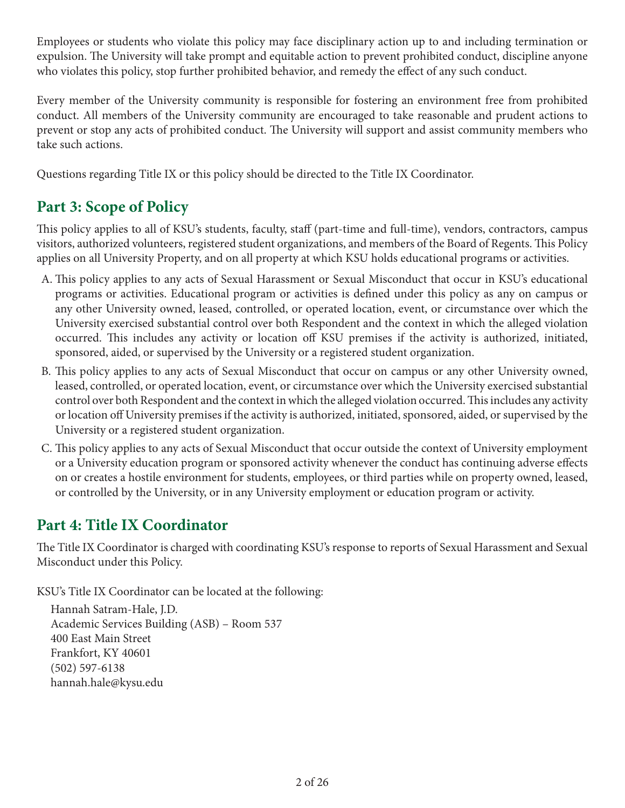Employees or students who violate this policy may face disciplinary action up to and including termination or expulsion. The University will take prompt and equitable action to prevent prohibited conduct, discipline anyone who violates this policy, stop further prohibited behavior, and remedy the effect of any such conduct.

Every member of the University community is responsible for fostering an environment free from prohibited conduct. All members of the University community are encouraged to take reasonable and prudent actions to prevent or stop any acts of prohibited conduct. The University will support and assist community members who take such actions.

Questions regarding Title IX or this policy should be directed to the Title IX Coordinator.

# **Part 3: Scope of Policy**

This policy applies to all of KSU's students, faculty, staff (part-time and full-time), vendors, contractors, campus visitors, authorized volunteers, registered student organizations, and members of the Board of Regents. This Policy applies on all University Property, and on all property at which KSU holds educational programs or activities.

- A. This policy applies to any acts of Sexual Harassment or Sexual Misconduct that occur in KSU's educational programs or activities. Educational program or activities is defined under this policy as any on campus or any other University owned, leased, controlled, or operated location, event, or circumstance over which the University exercised substantial control over both Respondent and the context in which the alleged violation occurred. This includes any activity or location off KSU premises if the activity is authorized, initiated, sponsored, aided, or supervised by the University or a registered student organization.
- B. This policy applies to any acts of Sexual Misconduct that occur on campus or any other University owned, leased, controlled, or operated location, event, or circumstance over which the University exercised substantial control over both Respondent and the context in which the alleged violation occurred. This includes any activity or location off University premises if the activity is authorized, initiated, sponsored, aided, or supervised by the University or a registered student organization.
- C. This policy applies to any acts of Sexual Misconduct that occur outside the context of University employment or a University education program or sponsored activity whenever the conduct has continuing adverse effects on or creates a hostile environment for students, employees, or third parties while on property owned, leased, or controlled by the University, or in any University employment or education program or activity.

# **Part 4: Title IX Coordinator**

The Title IX Coordinator is charged with coordinating KSU's response to reports of Sexual Harassment and Sexual Misconduct under this Policy.

KSU's Title IX Coordinator can be located at the following:

Hannah Satram-Hale, J.D. Academic Services Building (ASB) – Room 537 400 East Main Street Frankfort, KY 40601 (502) 597-6138 hannah.hale@kysu.edu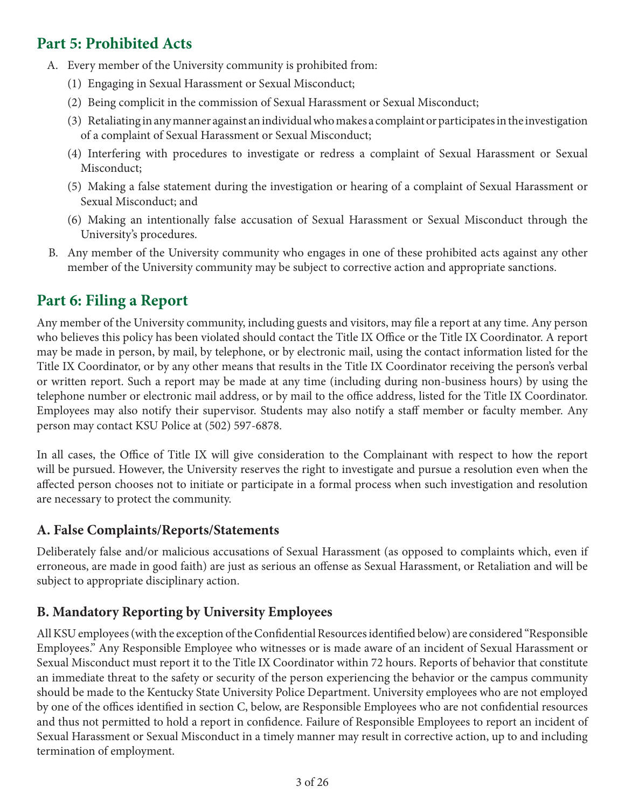# **Part 5: Prohibited Acts**

- A. Every member of the University community is prohibited from:
	- (1) Engaging in Sexual Harassment or Sexual Misconduct;
	- (2) Being complicit in the commission of Sexual Harassment or Sexual Misconduct;
	- (3) Retaliating in any manner against an individual who makes a complaint or participates in the investigation of a complaint of Sexual Harassment or Sexual Misconduct;
	- (4) Interfering with procedures to investigate or redress a complaint of Sexual Harassment or Sexual Misconduct;
	- (5) Making a false statement during the investigation or hearing of a complaint of Sexual Harassment or Sexual Misconduct; and
	- (6) Making an intentionally false accusation of Sexual Harassment or Sexual Misconduct through the University's procedures.
- B. Any member of the University community who engages in one of these prohibited acts against any other member of the University community may be subject to corrective action and appropriate sanctions.

# **Part 6: Filing a Report**

Any member of the University community, including guests and visitors, may file a report at any time. Any person who believes this policy has been violated should contact the Title IX Office or the Title IX Coordinator. A report may be made in person, by mail, by telephone, or by electronic mail, using the contact information listed for the Title IX Coordinator, or by any other means that results in the Title IX Coordinator receiving the person's verbal or written report. Such a report may be made at any time (including during non-business hours) by using the telephone number or electronic mail address, or by mail to the office address, listed for the Title IX Coordinator. Employees may also notify their supervisor. Students may also notify a staff member or faculty member. Any person may contact KSU Police at (502) 597-6878.

In all cases, the Office of Title IX will give consideration to the Complainant with respect to how the report will be pursued. However, the University reserves the right to investigate and pursue a resolution even when the affected person chooses not to initiate or participate in a formal process when such investigation and resolution are necessary to protect the community.

## **A. False Complaints/Reports/Statements**

Deliberately false and/or malicious accusations of Sexual Harassment (as opposed to complaints which, even if erroneous, are made in good faith) are just as serious an offense as Sexual Harassment, or Retaliation and will be subject to appropriate disciplinary action.

# **B. Mandatory Reporting by University Employees**

All KSU employees (with the exception of the Confidential Resources identified below) are considered "Responsible Employees." Any Responsible Employee who witnesses or is made aware of an incident of Sexual Harassment or Sexual Misconduct must report it to the Title IX Coordinator within 72 hours. Reports of behavior that constitute an immediate threat to the safety or security of the person experiencing the behavior or the campus community should be made to the Kentucky State University Police Department. University employees who are not employed by one of the offices identified in section C, below, are Responsible Employees who are not confidential resources and thus not permitted to hold a report in confidence. Failure of Responsible Employees to report an incident of Sexual Harassment or Sexual Misconduct in a timely manner may result in corrective action, up to and including termination of employment.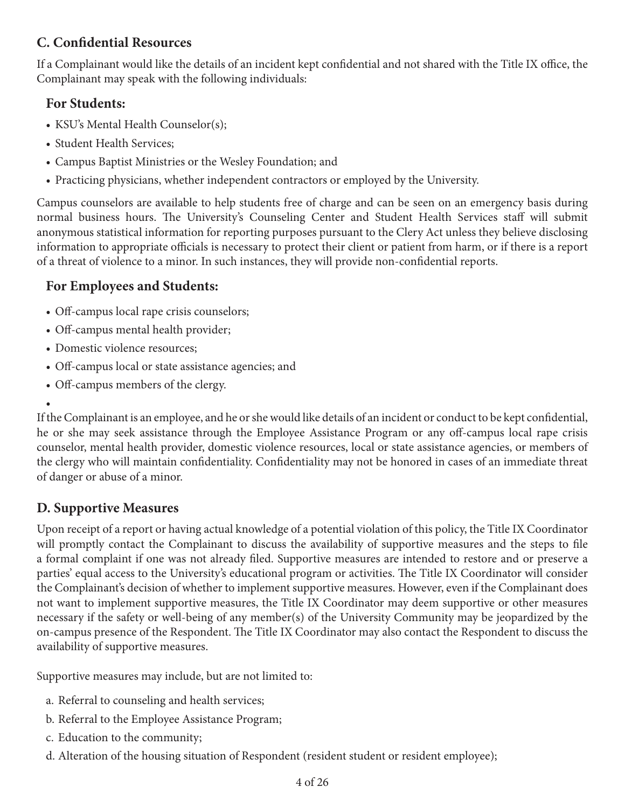# **C. Confidential Resources**

If a Complainant would like the details of an incident kept confidential and not shared with the Title IX office, the Complainant may speak with the following individuals:

## **For Students:**

- KSU's Mental Health Counselor(s);
- Student Health Services;
- Campus Baptist Ministries or the Wesley Foundation; and
- Practicing physicians, whether independent contractors or employed by the University.

Campus counselors are available to help students free of charge and can be seen on an emergency basis during normal business hours. The University's Counseling Center and Student Health Services staff will submit anonymous statistical information for reporting purposes pursuant to the Clery Act unless they believe disclosing information to appropriate officials is necessary to protect their client or patient from harm, or if there is a report of a threat of violence to a minor. In such instances, they will provide non-confidential reports.

## **For Employees and Students:**

- Off-campus local rape crisis counselors;
- Off-campus mental health provider;
- Domestic violence resources;
- Off-campus local or state assistance agencies; and
- Off-campus members of the clergy.

#### •

If the Complainant is an employee, and he or she would like details of an incident or conduct to be kept confidential, he or she may seek assistance through the Employee Assistance Program or any off-campus local rape crisis counselor, mental health provider, domestic violence resources, local or state assistance agencies, or members of the clergy who will maintain confidentiality. Confidentiality may not be honored in cases of an immediate threat of danger or abuse of a minor.

## **D. Supportive Measures**

Upon receipt of a report or having actual knowledge of a potential violation of this policy, the Title IX Coordinator will promptly contact the Complainant to discuss the availability of supportive measures and the steps to file a formal complaint if one was not already filed. Supportive measures are intended to restore and or preserve a parties' equal access to the University's educational program or activities. The Title IX Coordinator will consider the Complainant's decision of whether to implement supportive measures. However, even if the Complainant does not want to implement supportive measures, the Title IX Coordinator may deem supportive or other measures necessary if the safety or well-being of any member(s) of the University Community may be jeopardized by the on-campus presence of the Respondent. The Title IX Coordinator may also contact the Respondent to discuss the availability of supportive measures.

Supportive measures may include, but are not limited to:

- a. Referral to counseling and health services;
- b. Referral to the Employee Assistance Program;
- c. Education to the community;
- d. Alteration of the housing situation of Respondent (resident student or resident employee);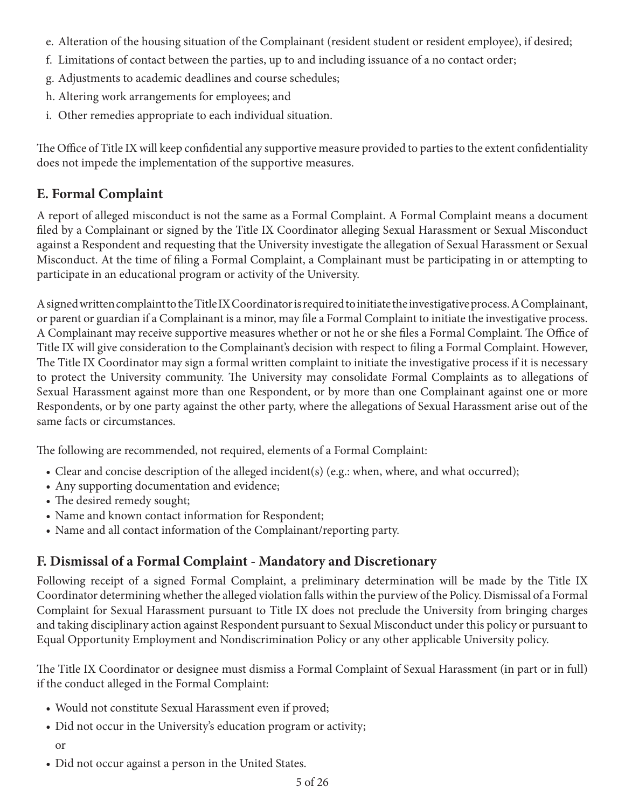- e. Alteration of the housing situation of the Complainant (resident student or resident employee), if desired;
- f. Limitations of contact between the parties, up to and including issuance of a no contact order;
- g. Adjustments to academic deadlines and course schedules;
- h. Altering work arrangements for employees; and
- i. Other remedies appropriate to each individual situation.

The Office of Title IX will keep confidential any supportive measure provided to parties to the extent confidentiality does not impede the implementation of the supportive measures.

# **E. Formal Complaint**

A report of alleged misconduct is not the same as a Formal Complaint. A Formal Complaint means a document filed by a Complainant or signed by the Title IX Coordinator alleging Sexual Harassment or Sexual Misconduct against a Respondent and requesting that the University investigate the allegation of Sexual Harassment or Sexual Misconduct. At the time of filing a Formal Complaint, a Complainant must be participating in or attempting to participate in an educational program or activity of the University.

A signed written complaint to the Title IX Coordinator is required to initiate the investigative process. A Complainant, or parent or guardian if a Complainant is a minor, may file a Formal Complaint to initiate the investigative process. A Complainant may receive supportive measures whether or not he or she files a Formal Complaint. The Office of Title IX will give consideration to the Complainant's decision with respect to filing a Formal Complaint. However, The Title IX Coordinator may sign a formal written complaint to initiate the investigative process if it is necessary to protect the University community. The University may consolidate Formal Complaints as to allegations of Sexual Harassment against more than one Respondent, or by more than one Complainant against one or more Respondents, or by one party against the other party, where the allegations of Sexual Harassment arise out of the same facts or circumstances.

The following are recommended, not required, elements of a Formal Complaint:

- Clear and concise description of the alleged incident(s) (e.g.: when, where, and what occurred);
- Any supporting documentation and evidence;
- The desired remedy sought;
- Name and known contact information for Respondent;
- Name and all contact information of the Complainant/reporting party.

# **F. Dismissal of a Formal Complaint - Mandatory and Discretionary**

Following receipt of a signed Formal Complaint, a preliminary determination will be made by the Title IX Coordinator determining whether the alleged violation falls within the purview of the Policy. Dismissal of a Formal Complaint for Sexual Harassment pursuant to Title IX does not preclude the University from bringing charges and taking disciplinary action against Respondent pursuant to Sexual Misconduct under this policy or pursuant to Equal Opportunity Employment and Nondiscrimination Policy or any other applicable University policy.

The Title IX Coordinator or designee must dismiss a Formal Complaint of Sexual Harassment (in part or in full) if the conduct alleged in the Formal Complaint:

- Would not constitute Sexual Harassment even if proved;
- Did not occur in the University's education program or activity;
	- or
- Did not occur against a person in the United States.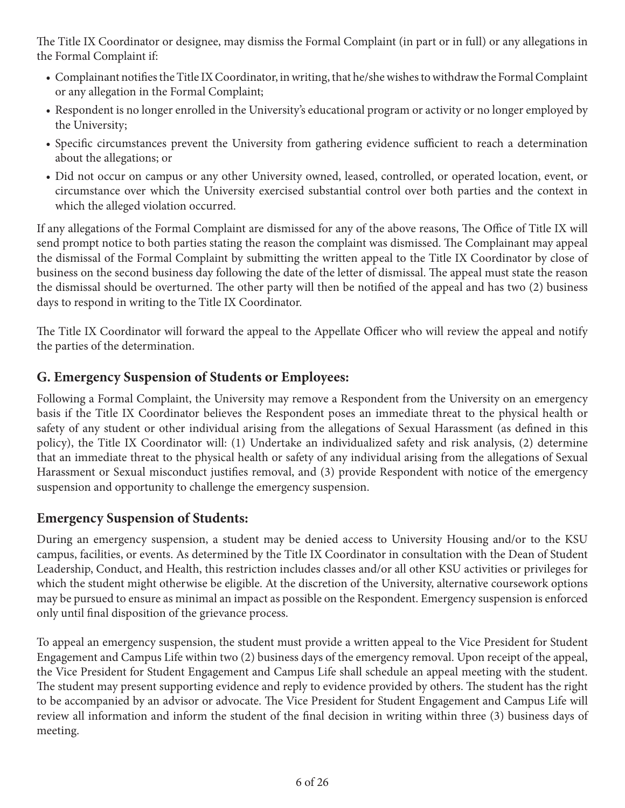The Title IX Coordinator or designee, may dismiss the Formal Complaint (in part or in full) or any allegations in the Formal Complaint if:

- Complainant notifies the Title IX Coordinator, in writing, that he/she wishes to withdraw the Formal Complaint or any allegation in the Formal Complaint;
- Respondent is no longer enrolled in the University's educational program or activity or no longer employed by the University;
- Specific circumstances prevent the University from gathering evidence sufficient to reach a determination about the allegations; or
- Did not occur on campus or any other University owned, leased, controlled, or operated location, event, or circumstance over which the University exercised substantial control over both parties and the context in which the alleged violation occurred.

If any allegations of the Formal Complaint are dismissed for any of the above reasons, The Office of Title IX will send prompt notice to both parties stating the reason the complaint was dismissed. The Complainant may appeal the dismissal of the Formal Complaint by submitting the written appeal to the Title IX Coordinator by close of business on the second business day following the date of the letter of dismissal. The appeal must state the reason the dismissal should be overturned. The other party will then be notified of the appeal and has two (2) business days to respond in writing to the Title IX Coordinator.

The Title IX Coordinator will forward the appeal to the Appellate Officer who will review the appeal and notify the parties of the determination.

## **G. Emergency Suspension of Students or Employees:**

Following a Formal Complaint, the University may remove a Respondent from the University on an emergency basis if the Title IX Coordinator believes the Respondent poses an immediate threat to the physical health or safety of any student or other individual arising from the allegations of Sexual Harassment (as defined in this policy), the Title IX Coordinator will: (1) Undertake an individualized safety and risk analysis, (2) determine that an immediate threat to the physical health or safety of any individual arising from the allegations of Sexual Harassment or Sexual misconduct justifies removal, and (3) provide Respondent with notice of the emergency suspension and opportunity to challenge the emergency suspension.

## **Emergency Suspension of Students:**

During an emergency suspension, a student may be denied access to University Housing and/or to the KSU campus, facilities, or events. As determined by the Title IX Coordinator in consultation with the Dean of Student Leadership, Conduct, and Health, this restriction includes classes and/or all other KSU activities or privileges for which the student might otherwise be eligible. At the discretion of the University, alternative coursework options may be pursued to ensure as minimal an impact as possible on the Respondent. Emergency suspension is enforced only until final disposition of the grievance process.

To appeal an emergency suspension, the student must provide a written appeal to the Vice President for Student Engagement and Campus Life within two (2) business days of the emergency removal. Upon receipt of the appeal, the Vice President for Student Engagement and Campus Life shall schedule an appeal meeting with the student. The student may present supporting evidence and reply to evidence provided by others. The student has the right to be accompanied by an advisor or advocate. The Vice President for Student Engagement and Campus Life will review all information and inform the student of the final decision in writing within three (3) business days of meeting.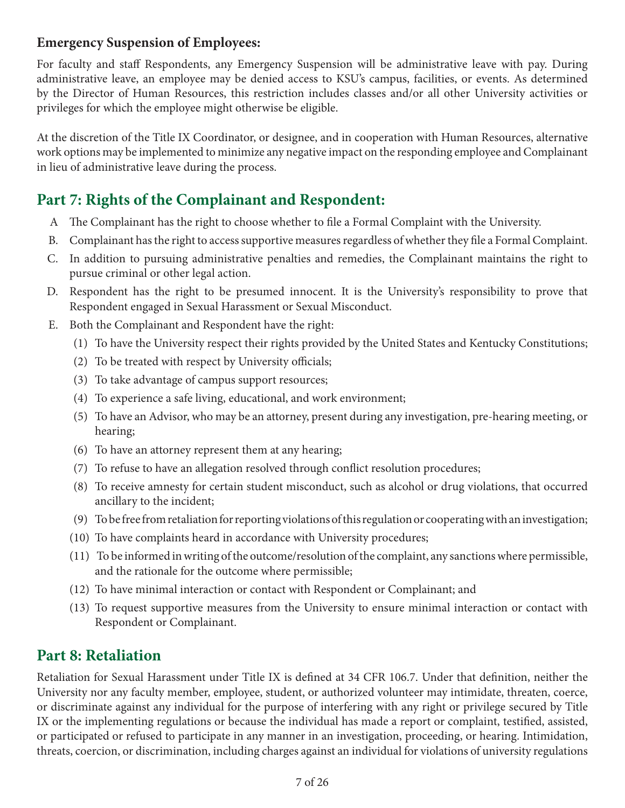### **Emergency Suspension of Employees:**

For faculty and staff Respondents, any Emergency Suspension will be administrative leave with pay. During administrative leave, an employee may be denied access to KSU's campus, facilities, or events. As determined by the Director of Human Resources, this restriction includes classes and/or all other University activities or privileges for which the employee might otherwise be eligible.

At the discretion of the Title IX Coordinator, or designee, and in cooperation with Human Resources, alternative work options may be implemented to minimize any negative impact on the responding employee and Complainant in lieu of administrative leave during the process.

# **Part 7: Rights of the Complainant and Respondent:**

- A The Complainant has the right to choose whether to file a Formal Complaint with the University.
- B. Complainant has the right to access supportive measures regardless of whether they file a Formal Complaint.
- C. In addition to pursuing administrative penalties and remedies, the Complainant maintains the right to pursue criminal or other legal action.
- D. Respondent has the right to be presumed innocent. It is the University's responsibility to prove that Respondent engaged in Sexual Harassment or Sexual Misconduct.
- E. Both the Complainant and Respondent have the right:
	- (1) To have the University respect their rights provided by the United States and Kentucky Constitutions;
	- (2) To be treated with respect by University officials;
	- (3) To take advantage of campus support resources;
	- (4) To experience a safe living, educational, and work environment;
	- (5) To have an Advisor, who may be an attorney, present during any investigation, pre-hearing meeting, or hearing;
	- (6) To have an attorney represent them at any hearing;
	- (7) To refuse to have an allegation resolved through conflict resolution procedures;
	- (8) To receive amnesty for certain student misconduct, such as alcohol or drug violations, that occurred ancillary to the incident;
	- (9) To be free from retaliation for reporting violations of this regulation or cooperating with an investigation;
	- (10) To have complaints heard in accordance with University procedures;
	- (11) To be informed in writing of the outcome/resolution of the complaint, any sanctions where permissible, and the rationale for the outcome where permissible;
	- (12) To have minimal interaction or contact with Respondent or Complainant; and
	- (13) To request supportive measures from the University to ensure minimal interaction or contact with Respondent or Complainant.

# **Part 8: Retaliation**

Retaliation for Sexual Harassment under Title IX is defined at 34 CFR 106.7. Under that definition, neither the University nor any faculty member, employee, student, or authorized volunteer may intimidate, threaten, coerce, or discriminate against any individual for the purpose of interfering with any right or privilege secured by Title IX or the implementing regulations or because the individual has made a report or complaint, testified, assisted, or participated or refused to participate in any manner in an investigation, proceeding, or hearing. Intimidation, threats, coercion, or discrimination, including charges against an individual for violations of university regulations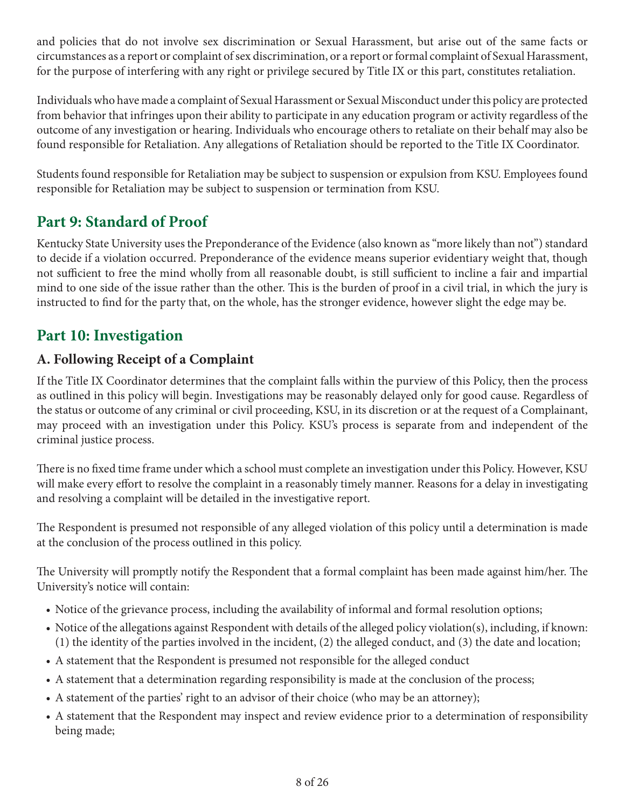and policies that do not involve sex discrimination or Sexual Harassment, but arise out of the same facts or circumstances as a report or complaint of sex discrimination, or a report or formal complaint of Sexual Harassment, for the purpose of interfering with any right or privilege secured by Title IX or this part, constitutes retaliation.

Individuals who have made a complaint of Sexual Harassment or Sexual Misconduct under this policy are protected from behavior that infringes upon their ability to participate in any education program or activity regardless of the outcome of any investigation or hearing. Individuals who encourage others to retaliate on their behalf may also be found responsible for Retaliation. Any allegations of Retaliation should be reported to the Title IX Coordinator.

Students found responsible for Retaliation may be subject to suspension or expulsion from KSU. Employees found responsible for Retaliation may be subject to suspension or termination from KSU.

# **Part 9: Standard of Proof**

Kentucky State University uses the Preponderance of the Evidence (also known as "more likely than not") standard to decide if a violation occurred. Preponderance of the evidence means superior evidentiary weight that, though not sufficient to free the mind wholly from all reasonable doubt, is still sufficient to incline a fair and impartial mind to one side of the issue rather than the other. This is the burden of proof in a civil trial, in which the jury is instructed to find for the party that, on the whole, has the stronger evidence, however slight the edge may be.

# **Part 10: Investigation**

## **A. Following Receipt of a Complaint**

If the Title IX Coordinator determines that the complaint falls within the purview of this Policy, then the process as outlined in this policy will begin. Investigations may be reasonably delayed only for good cause. Regardless of the status or outcome of any criminal or civil proceeding, KSU, in its discretion or at the request of a Complainant, may proceed with an investigation under this Policy. KSU's process is separate from and independent of the criminal justice process.

There is no fixed time frame under which a school must complete an investigation under this Policy. However, KSU will make every effort to resolve the complaint in a reasonably timely manner. Reasons for a delay in investigating and resolving a complaint will be detailed in the investigative report.

The Respondent is presumed not responsible of any alleged violation of this policy until a determination is made at the conclusion of the process outlined in this policy.

The University will promptly notify the Respondent that a formal complaint has been made against him/her. The University's notice will contain:

- Notice of the grievance process, including the availability of informal and formal resolution options;
- Notice of the allegations against Respondent with details of the alleged policy violation(s), including, if known: (1) the identity of the parties involved in the incident, (2) the alleged conduct, and (3) the date and location;
- A statement that the Respondent is presumed not responsible for the alleged conduct
- A statement that a determination regarding responsibility is made at the conclusion of the process;
- A statement of the parties' right to an advisor of their choice (who may be an attorney);
- A statement that the Respondent may inspect and review evidence prior to a determination of responsibility being made;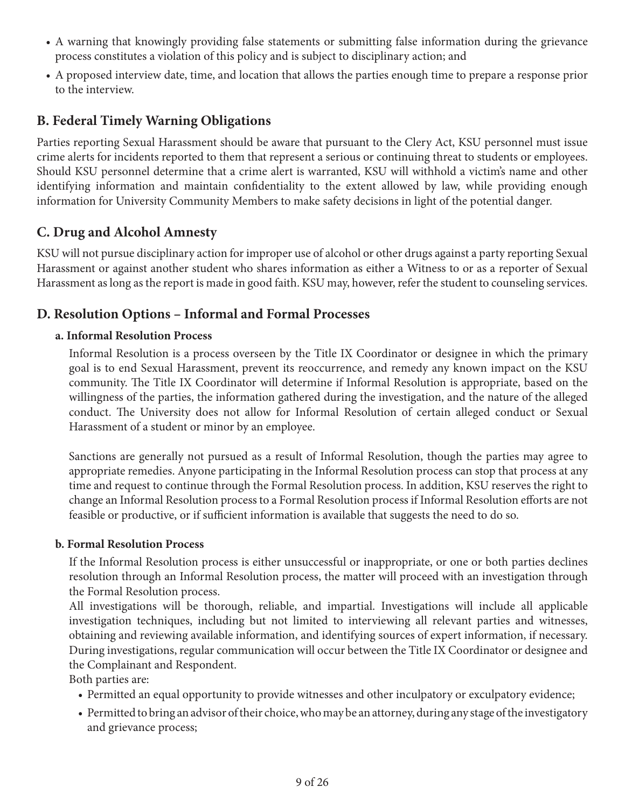- A warning that knowingly providing false statements or submitting false information during the grievance process constitutes a violation of this policy and is subject to disciplinary action; and
- A proposed interview date, time, and location that allows the parties enough time to prepare a response prior to the interview.

## **B. Federal Timely Warning Obligations**

Parties reporting Sexual Harassment should be aware that pursuant to the Clery Act, KSU personnel must issue crime alerts for incidents reported to them that represent a serious or continuing threat to students or employees. Should KSU personnel determine that a crime alert is warranted, KSU will withhold a victim's name and other identifying information and maintain confidentiality to the extent allowed by law, while providing enough information for University Community Members to make safety decisions in light of the potential danger.

## **C. Drug and Alcohol Amnesty**

KSU will not pursue disciplinary action for improper use of alcohol or other drugs against a party reporting Sexual Harassment or against another student who shares information as either a Witness to or as a reporter of Sexual Harassment as long as the report is made in good faith. KSU may, however, refer the student to counseling services.

## **D. Resolution Options – Informal and Formal Processes**

#### **a. Informal Resolution Process**

Informal Resolution is a process overseen by the Title IX Coordinator or designee in which the primary goal is to end Sexual Harassment, prevent its reoccurrence, and remedy any known impact on the KSU community. The Title IX Coordinator will determine if Informal Resolution is appropriate, based on the willingness of the parties, the information gathered during the investigation, and the nature of the alleged conduct. The University does not allow for Informal Resolution of certain alleged conduct or Sexual Harassment of a student or minor by an employee.

Sanctions are generally not pursued as a result of Informal Resolution, though the parties may agree to appropriate remedies. Anyone participating in the Informal Resolution process can stop that process at any time and request to continue through the Formal Resolution process. In addition, KSU reserves the right to change an Informal Resolution process to a Formal Resolution process if Informal Resolution efforts are not feasible or productive, or if sufficient information is available that suggests the need to do so.

#### **b. Formal Resolution Process**

If the Informal Resolution process is either unsuccessful or inappropriate, or one or both parties declines resolution through an Informal Resolution process, the matter will proceed with an investigation through the Formal Resolution process.

All investigations will be thorough, reliable, and impartial. Investigations will include all applicable investigation techniques, including but not limited to interviewing all relevant parties and witnesses, obtaining and reviewing available information, and identifying sources of expert information, if necessary. During investigations, regular communication will occur between the Title IX Coordinator or designee and the Complainant and Respondent.

Both parties are:

- Permitted an equal opportunity to provide witnesses and other inculpatory or exculpatory evidence;
- Permitted to bring an advisor of their choice, who may be an attorney, during any stage of the investigatory and grievance process;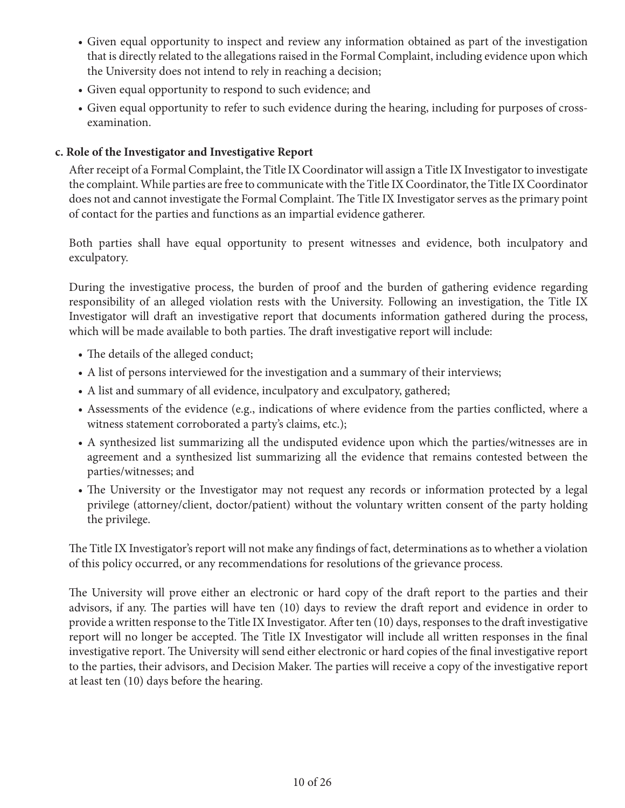- Given equal opportunity to inspect and review any information obtained as part of the investigation that is directly related to the allegations raised in the Formal Complaint, including evidence upon which the University does not intend to rely in reaching a decision;
- Given equal opportunity to respond to such evidence; and
- Given equal opportunity to refer to such evidence during the hearing, including for purposes of crossexamination.

#### **c. Role of the Investigator and Investigative Report**

After receipt of a Formal Complaint, the Title IX Coordinator will assign a Title IX Investigator to investigate the complaint. While parties are free to communicate with the Title IX Coordinator, the Title IX Coordinator does not and cannot investigate the Formal Complaint. The Title IX Investigator serves as the primary point of contact for the parties and functions as an impartial evidence gatherer.

Both parties shall have equal opportunity to present witnesses and evidence, both inculpatory and exculpatory.

During the investigative process, the burden of proof and the burden of gathering evidence regarding responsibility of an alleged violation rests with the University. Following an investigation, the Title IX Investigator will draft an investigative report that documents information gathered during the process, which will be made available to both parties. The draft investigative report will include:

- The details of the alleged conduct;
- A list of persons interviewed for the investigation and a summary of their interviews;
- A list and summary of all evidence, inculpatory and exculpatory, gathered;
- Assessments of the evidence (e.g., indications of where evidence from the parties conflicted, where a witness statement corroborated a party's claims, etc.);
- A synthesized list summarizing all the undisputed evidence upon which the parties/witnesses are in agreement and a synthesized list summarizing all the evidence that remains contested between the parties/witnesses; and
- The University or the Investigator may not request any records or information protected by a legal privilege (attorney/client, doctor/patient) without the voluntary written consent of the party holding the privilege.

The Title IX Investigator's report will not make any findings of fact, determinations as to whether a violation of this policy occurred, or any recommendations for resolutions of the grievance process.

The University will prove either an electronic or hard copy of the draft report to the parties and their advisors, if any. The parties will have ten (10) days to review the draft report and evidence in order to provide a written response to the Title IX Investigator. After ten (10) days, responses to the draft investigative report will no longer be accepted. The Title IX Investigator will include all written responses in the final investigative report. The University will send either electronic or hard copies of the final investigative report to the parties, their advisors, and Decision Maker. The parties will receive a copy of the investigative report at least ten (10) days before the hearing.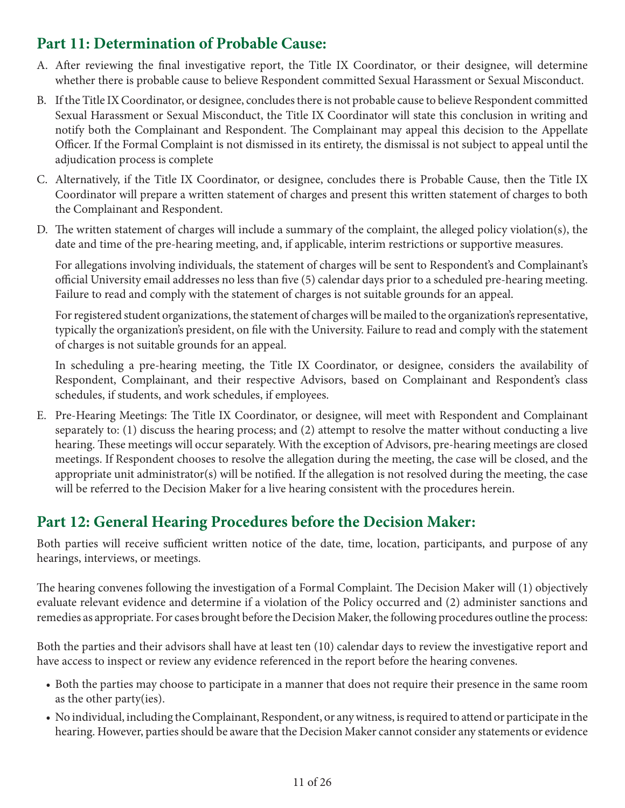# **Part 11: Determination of Probable Cause:**

- A. After reviewing the final investigative report, the Title IX Coordinator, or their designee, will determine whether there is probable cause to believe Respondent committed Sexual Harassment or Sexual Misconduct.
- B. If the Title IX Coordinator, or designee, concludes there is not probable cause to believe Respondent committed Sexual Harassment or Sexual Misconduct, the Title IX Coordinator will state this conclusion in writing and notify both the Complainant and Respondent. The Complainant may appeal this decision to the Appellate Officer. If the Formal Complaint is not dismissed in its entirety, the dismissal is not subject to appeal until the adjudication process is complete
- C. Alternatively, if the Title IX Coordinator, or designee, concludes there is Probable Cause, then the Title IX Coordinator will prepare a written statement of charges and present this written statement of charges to both the Complainant and Respondent.
- D. The written statement of charges will include a summary of the complaint, the alleged policy violation(s), the date and time of the pre-hearing meeting, and, if applicable, interim restrictions or supportive measures.

For allegations involving individuals, the statement of charges will be sent to Respondent's and Complainant's official University email addresses no less than five (5) calendar days prior to a scheduled pre-hearing meeting. Failure to read and comply with the statement of charges is not suitable grounds for an appeal.

For registered student organizations, the statement of charges will be mailed to the organization's representative, typically the organization's president, on file with the University. Failure to read and comply with the statement of charges is not suitable grounds for an appeal.

In scheduling a pre-hearing meeting, the Title IX Coordinator, or designee, considers the availability of Respondent, Complainant, and their respective Advisors, based on Complainant and Respondent's class schedules, if students, and work schedules, if employees.

E. Pre-Hearing Meetings: The Title IX Coordinator, or designee, will meet with Respondent and Complainant separately to: (1) discuss the hearing process; and (2) attempt to resolve the matter without conducting a live hearing. These meetings will occur separately. With the exception of Advisors, pre-hearing meetings are closed meetings. If Respondent chooses to resolve the allegation during the meeting, the case will be closed, and the appropriate unit administrator(s) will be notified. If the allegation is not resolved during the meeting, the case will be referred to the Decision Maker for a live hearing consistent with the procedures herein.

# **Part 12: General Hearing Procedures before the Decision Maker:**

Both parties will receive sufficient written notice of the date, time, location, participants, and purpose of any hearings, interviews, or meetings.

The hearing convenes following the investigation of a Formal Complaint. The Decision Maker will (1) objectively evaluate relevant evidence and determine if a violation of the Policy occurred and (2) administer sanctions and remedies as appropriate. For cases brought before the Decision Maker, the following procedures outline the process:

Both the parties and their advisors shall have at least ten (10) calendar days to review the investigative report and have access to inspect or review any evidence referenced in the report before the hearing convenes.

- Both the parties may choose to participate in a manner that does not require their presence in the same room as the other party(ies).
- No individual, including the Complainant, Respondent, or any witness, is required to attend or participate in the hearing. However, parties should be aware that the Decision Maker cannot consider any statements or evidence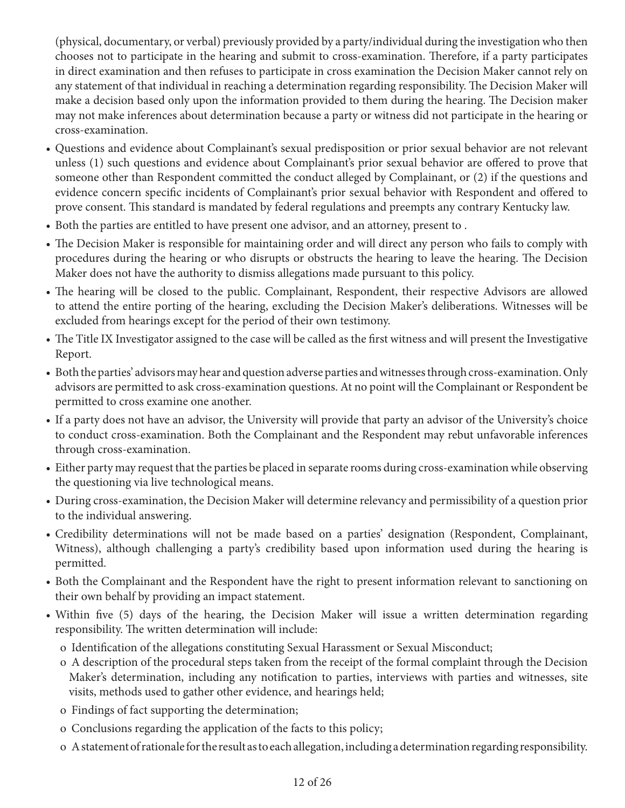(physical, documentary, or verbal) previously provided by a party/individual during the investigation who then chooses not to participate in the hearing and submit to cross-examination. Therefore, if a party participates in direct examination and then refuses to participate in cross examination the Decision Maker cannot rely on any statement of that individual in reaching a determination regarding responsibility. The Decision Maker will make a decision based only upon the information provided to them during the hearing. The Decision maker may not make inferences about determination because a party or witness did not participate in the hearing or cross-examination.

- Questions and evidence about Complainant's sexual predisposition or prior sexual behavior are not relevant unless (1) such questions and evidence about Complainant's prior sexual behavior are offered to prove that someone other than Respondent committed the conduct alleged by Complainant, or (2) if the questions and evidence concern specific incidents of Complainant's prior sexual behavior with Respondent and offered to prove consent. This standard is mandated by federal regulations and preempts any contrary Kentucky law.
- Both the parties are entitled to have present one advisor, and an attorney, present to .
- The Decision Maker is responsible for maintaining order and will direct any person who fails to comply with procedures during the hearing or who disrupts or obstructs the hearing to leave the hearing. The Decision Maker does not have the authority to dismiss allegations made pursuant to this policy.
- The hearing will be closed to the public. Complainant, Respondent, their respective Advisors are allowed to attend the entire porting of the hearing, excluding the Decision Maker's deliberations. Witnesses will be excluded from hearings except for the period of their own testimony.
- The Title IX Investigator assigned to the case will be called as the first witness and will present the Investigative Report.
- Both the parties' advisors may hear and question adverse parties and witnesses through cross-examination. Only advisors are permitted to ask cross-examination questions. At no point will the Complainant or Respondent be permitted to cross examine one another.
- If a party does not have an advisor, the University will provide that party an advisor of the University's choice to conduct cross-examination. Both the Complainant and the Respondent may rebut unfavorable inferences through cross-examination.
- Either party may request that the parties be placed in separate rooms during cross-examination while observing the questioning via live technological means.
- During cross-examination, the Decision Maker will determine relevancy and permissibility of a question prior to the individual answering.
- Credibility determinations will not be made based on a parties' designation (Respondent, Complainant, Witness), although challenging a party's credibility based upon information used during the hearing is permitted.
- Both the Complainant and the Respondent have the right to present information relevant to sanctioning on their own behalf by providing an impact statement.
- Within five (5) days of the hearing, the Decision Maker will issue a written determination regarding responsibility. The written determination will include:
	- o Identification of the allegations constituting Sexual Harassment or Sexual Misconduct;
	- o A description of the procedural steps taken from the receipt of the formal complaint through the Decision Maker's determination, including any notification to parties, interviews with parties and witnesses, site visits, methods used to gather other evidence, and hearings held;
	- o Findings of fact supporting the determination;
	- o Conclusions regarding the application of the facts to this policy;
	- o A statement of rationale for the result as to each allegation, including a determination regarding responsibility.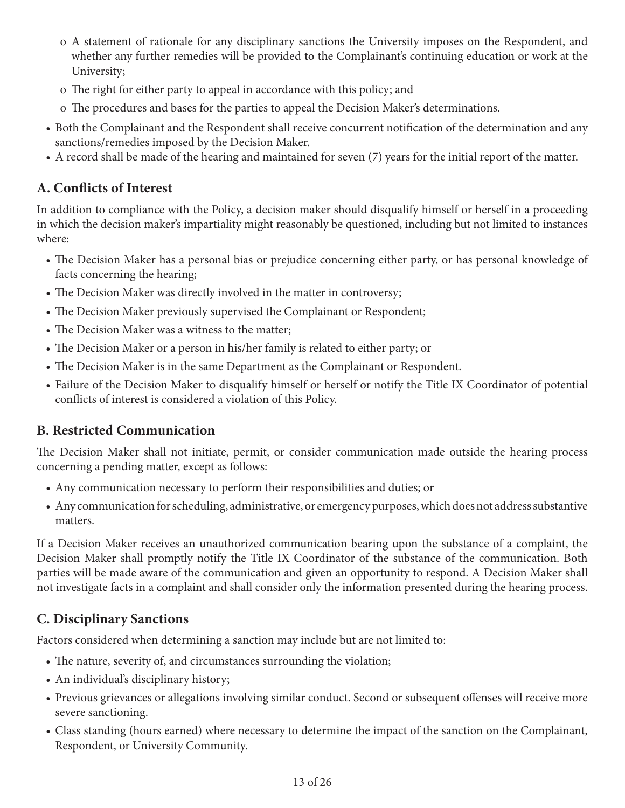- o A statement of rationale for any disciplinary sanctions the University imposes on the Respondent, and whether any further remedies will be provided to the Complainant's continuing education or work at the University;
- o The right for either party to appeal in accordance with this policy; and
- o The procedures and bases for the parties to appeal the Decision Maker's determinations.
- Both the Complainant and the Respondent shall receive concurrent notification of the determination and any sanctions/remedies imposed by the Decision Maker.
- A record shall be made of the hearing and maintained for seven (7) years for the initial report of the matter.

## **A. Conflicts of Interest**

In addition to compliance with the Policy, a decision maker should disqualify himself or herself in a proceeding in which the decision maker's impartiality might reasonably be questioned, including but not limited to instances where:

- The Decision Maker has a personal bias or prejudice concerning either party, or has personal knowledge of facts concerning the hearing;
- The Decision Maker was directly involved in the matter in controversy;
- The Decision Maker previously supervised the Complainant or Respondent;
- The Decision Maker was a witness to the matter;
- The Decision Maker or a person in his/her family is related to either party; or
- The Decision Maker is in the same Department as the Complainant or Respondent.
- Failure of the Decision Maker to disqualify himself or herself or notify the Title IX Coordinator of potential conflicts of interest is considered a violation of this Policy.

## **B. Restricted Communication**

The Decision Maker shall not initiate, permit, or consider communication made outside the hearing process concerning a pending matter, except as follows:

- Any communication necessary to perform their responsibilities and duties; or
- Any communication for scheduling, administrative, or emergency purposes, which does not address substantive matters.

If a Decision Maker receives an unauthorized communication bearing upon the substance of a complaint, the Decision Maker shall promptly notify the Title IX Coordinator of the substance of the communication. Both parties will be made aware of the communication and given an opportunity to respond. A Decision Maker shall not investigate facts in a complaint and shall consider only the information presented during the hearing process.

# **C. Disciplinary Sanctions**

Factors considered when determining a sanction may include but are not limited to:

- The nature, severity of, and circumstances surrounding the violation;
- An individual's disciplinary history;
- Previous grievances or allegations involving similar conduct. Second or subsequent offenses will receive more severe sanctioning.
- Class standing (hours earned) where necessary to determine the impact of the sanction on the Complainant, Respondent, or University Community.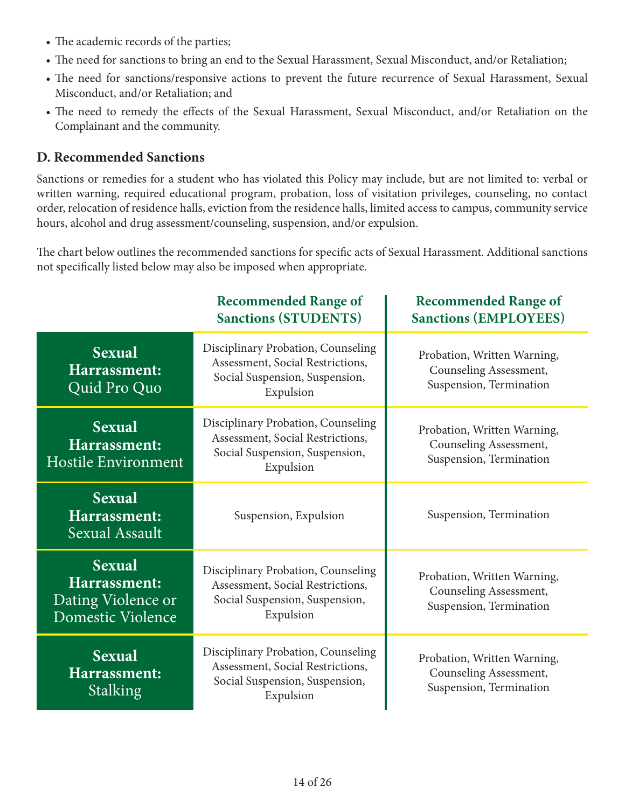- The academic records of the parties;
- The need for sanctions to bring an end to the Sexual Harassment, Sexual Misconduct, and/or Retaliation;
- The need for sanctions/responsive actions to prevent the future recurrence of Sexual Harassment, Sexual Misconduct, and/or Retaliation; and
- The need to remedy the effects of the Sexual Harassment, Sexual Misconduct, and/or Retaliation on the Complainant and the community.

## **D. Recommended Sanctions**

Sanctions or remedies for a student who has violated this Policy may include, but are not limited to: verbal or written warning, required educational program, probation, loss of visitation privileges, counseling, no contact order, relocation of residence halls, eviction from the residence halls, limited access to campus, community service hours, alcohol and drug assessment/counseling, suspension, and/or expulsion.

The chart below outlines the recommended sanctions for specific acts of Sexual Harassment. Additional sanctions not specifically listed below may also be imposed when appropriate.

|                                                                          | <b>Recommended Range of</b><br><b>Sanctions (STUDENTS)</b>                                                            | <b>Recommended Range of</b><br><b>Sanctions (EMPLOYEES)</b>                      |
|--------------------------------------------------------------------------|-----------------------------------------------------------------------------------------------------------------------|----------------------------------------------------------------------------------|
| <b>Sexual</b><br>Harrassment:<br>Quid Pro Quo                            | Disciplinary Probation, Counseling<br>Assessment, Social Restrictions,<br>Social Suspension, Suspension,<br>Expulsion | Probation, Written Warning,<br>Counseling Assessment,<br>Suspension, Termination |
| <b>Sexual</b><br>Harrassment:<br><b>Hostile Environment</b>              | Disciplinary Probation, Counseling<br>Assessment, Social Restrictions,<br>Social Suspension, Suspension,<br>Expulsion | Probation, Written Warning,<br>Counseling Assessment,<br>Suspension, Termination |
| <b>Sexual</b><br>Harrassment:<br><b>Sexual Assault</b>                   | Suspension, Expulsion                                                                                                 | Suspension, Termination                                                          |
| <b>Sexual</b><br>Harrassment:<br>Dating Violence or<br>Domestic Violence | Disciplinary Probation, Counseling<br>Assessment, Social Restrictions,<br>Social Suspension, Suspension,<br>Expulsion | Probation, Written Warning,<br>Counseling Assessment,<br>Suspension, Termination |
| <b>Sexual</b><br>Harrassment:<br>Stalking                                | Disciplinary Probation, Counseling<br>Assessment, Social Restrictions,<br>Social Suspension, Suspension,<br>Expulsion | Probation, Written Warning,<br>Counseling Assessment,<br>Suspension, Termination |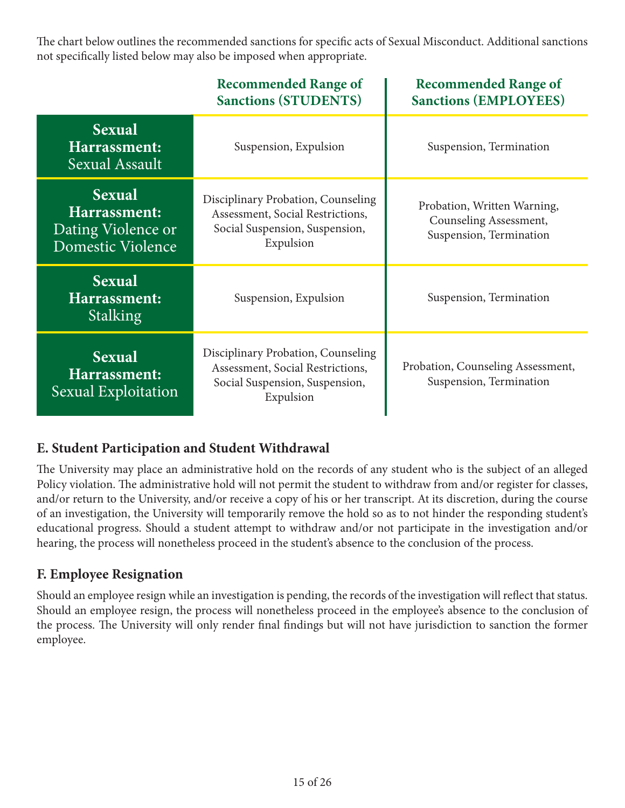The chart below outlines the recommended sanctions for specific acts of Sexual Misconduct. Additional sanctions not specifically listed below may also be imposed when appropriate.

|                                                                          | <b>Recommended Range of</b><br><b>Sanctions (STUDENTS)</b>                                                            | <b>Recommended Range of</b><br><b>Sanctions (EMPLOYEES)</b>                      |
|--------------------------------------------------------------------------|-----------------------------------------------------------------------------------------------------------------------|----------------------------------------------------------------------------------|
| <b>Sexual</b><br>Harrassment:<br>Sexual Assault                          | Suspension, Expulsion                                                                                                 | Suspension, Termination                                                          |
| <b>Sexual</b><br>Harrassment:<br>Dating Violence or<br>Domestic Violence | Disciplinary Probation, Counseling<br>Assessment, Social Restrictions,<br>Social Suspension, Suspension,<br>Expulsion | Probation, Written Warning,<br>Counseling Assessment,<br>Suspension, Termination |
| <b>Sexual</b><br>Harrassment:<br><b>Stalking</b>                         | Suspension, Expulsion                                                                                                 | Suspension, Termination                                                          |
| <b>Sexual</b><br>Harrassment:<br>Sexual Exploitation                     | Disciplinary Probation, Counseling<br>Assessment, Social Restrictions,<br>Social Suspension, Suspension,<br>Expulsion | Probation, Counseling Assessment,<br>Suspension, Termination                     |

# **E. Student Participation and Student Withdrawal**

The University may place an administrative hold on the records of any student who is the subject of an alleged Policy violation. The administrative hold will not permit the student to withdraw from and/or register for classes, and/or return to the University, and/or receive a copy of his or her transcript. At its discretion, during the course of an investigation, the University will temporarily remove the hold so as to not hinder the responding student's educational progress. Should a student attempt to withdraw and/or not participate in the investigation and/or hearing, the process will nonetheless proceed in the student's absence to the conclusion of the process.

## **F. Employee Resignation**

Should an employee resign while an investigation is pending, the records of the investigation will reflect that status. Should an employee resign, the process will nonetheless proceed in the employee's absence to the conclusion of the process. The University will only render final findings but will not have jurisdiction to sanction the former employee.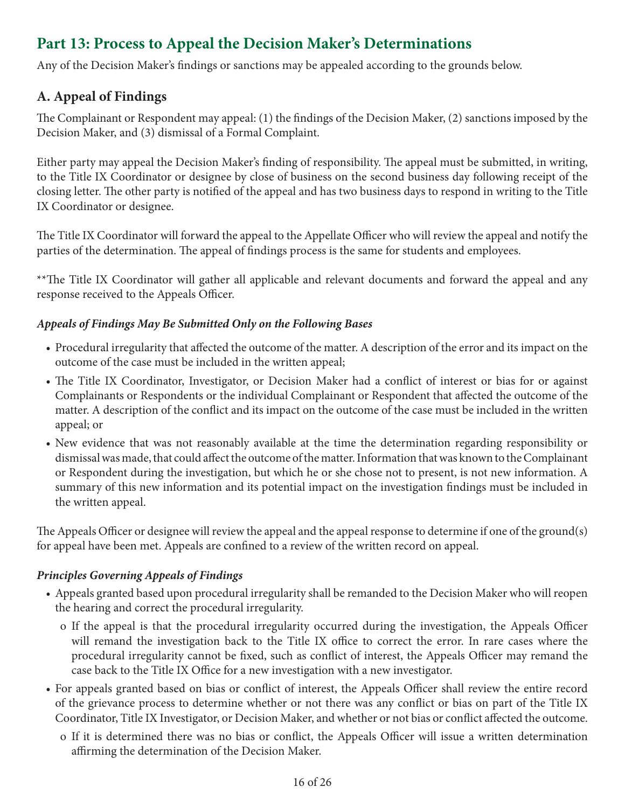# **Part 13: Process to Appeal the Decision Maker's Determinations**

Any of the Decision Maker's findings or sanctions may be appealed according to the grounds below.

# **A. Appeal of Findings**

The Complainant or Respondent may appeal: (1) the findings of the Decision Maker, (2) sanctions imposed by the Decision Maker, and (3) dismissal of a Formal Complaint.

Either party may appeal the Decision Maker's finding of responsibility. The appeal must be submitted, in writing, to the Title IX Coordinator or designee by close of business on the second business day following receipt of the closing letter. The other party is notified of the appeal and has two business days to respond in writing to the Title IX Coordinator or designee.

The Title IX Coordinator will forward the appeal to the Appellate Officer who will review the appeal and notify the parties of the determination. The appeal of findings process is the same for students and employees.

\*\*The Title IX Coordinator will gather all applicable and relevant documents and forward the appeal and any response received to the Appeals Officer.

#### *Appeals of Findings May Be Submitted Only on the Following Bases*

- Procedural irregularity that affected the outcome of the matter. A description of the error and its impact on the outcome of the case must be included in the written appeal;
- The Title IX Coordinator, Investigator, or Decision Maker had a conflict of interest or bias for or against Complainants or Respondents or the individual Complainant or Respondent that affected the outcome of the matter. A description of the conflict and its impact on the outcome of the case must be included in the written appeal; or
- New evidence that was not reasonably available at the time the determination regarding responsibility or dismissal was made, that could affect the outcome of the matter. Information that was known to the Complainant or Respondent during the investigation, but which he or she chose not to present, is not new information. A summary of this new information and its potential impact on the investigation findings must be included in the written appeal.

The Appeals Officer or designee will review the appeal and the appeal response to determine if one of the ground(s) for appeal have been met. Appeals are confined to a review of the written record on appeal.

#### *Principles Governing Appeals of Findings*

- Appeals granted based upon procedural irregularity shall be remanded to the Decision Maker who will reopen the hearing and correct the procedural irregularity.
	- o If the appeal is that the procedural irregularity occurred during the investigation, the Appeals Officer will remand the investigation back to the Title IX office to correct the error. In rare cases where the procedural irregularity cannot be fixed, such as conflict of interest, the Appeals Officer may remand the case back to the Title IX Office for a new investigation with a new investigator.
- For appeals granted based on bias or conflict of interest, the Appeals Officer shall review the entire record of the grievance process to determine whether or not there was any conflict or bias on part of the Title IX Coordinator, Title IX Investigator, or Decision Maker, and whether or not bias or conflict affected the outcome.
	- o If it is determined there was no bias or conflict, the Appeals Officer will issue a written determination affirming the determination of the Decision Maker.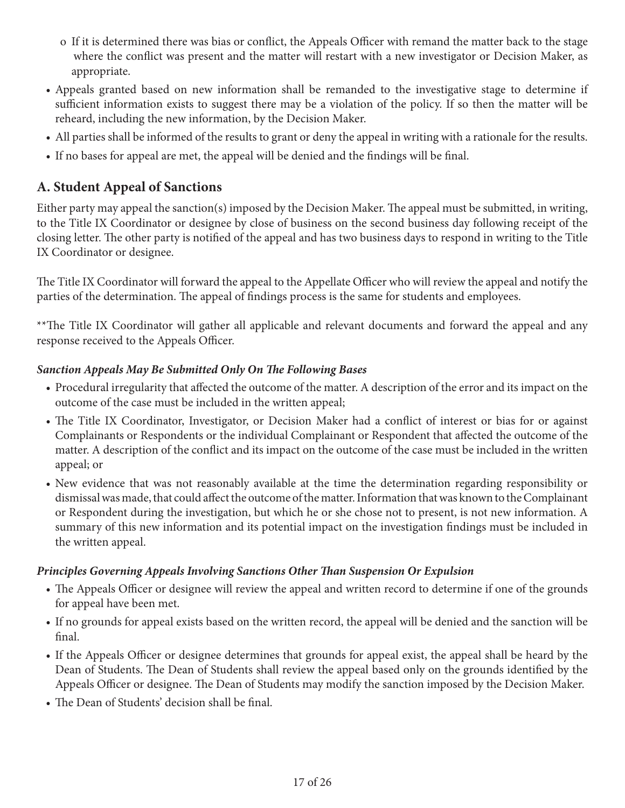- o If it is determined there was bias or conflict, the Appeals Officer with remand the matter back to the stage where the conflict was present and the matter will restart with a new investigator or Decision Maker, as appropriate.
- Appeals granted based on new information shall be remanded to the investigative stage to determine if sufficient information exists to suggest there may be a violation of the policy. If so then the matter will be reheard, including the new information, by the Decision Maker.
- All parties shall be informed of the results to grant or deny the appeal in writing with a rationale for the results.
- If no bases for appeal are met, the appeal will be denied and the findings will be final.

# **A. Student Appeal of Sanctions**

Either party may appeal the sanction(s) imposed by the Decision Maker. The appeal must be submitted, in writing, to the Title IX Coordinator or designee by close of business on the second business day following receipt of the closing letter. The other party is notified of the appeal and has two business days to respond in writing to the Title IX Coordinator or designee.

The Title IX Coordinator will forward the appeal to the Appellate Officer who will review the appeal and notify the parties of the determination. The appeal of findings process is the same for students and employees.

\*\*The Title IX Coordinator will gather all applicable and relevant documents and forward the appeal and any response received to the Appeals Officer.

### *Sanction Appeals May Be Submitted Only On The Following Bases*

- Procedural irregularity that affected the outcome of the matter. A description of the error and its impact on the outcome of the case must be included in the written appeal;
- The Title IX Coordinator, Investigator, or Decision Maker had a conflict of interest or bias for or against Complainants or Respondents or the individual Complainant or Respondent that affected the outcome of the matter. A description of the conflict and its impact on the outcome of the case must be included in the written appeal; or
- New evidence that was not reasonably available at the time the determination regarding responsibility or dismissal was made, that could affect the outcome of the matter. Information that was known to the Complainant or Respondent during the investigation, but which he or she chose not to present, is not new information. A summary of this new information and its potential impact on the investigation findings must be included in the written appeal.

#### *Principles Governing Appeals Involving Sanctions Other Than Suspension Or Expulsion*

- The Appeals Officer or designee will review the appeal and written record to determine if one of the grounds for appeal have been met.
- If no grounds for appeal exists based on the written record, the appeal will be denied and the sanction will be final.
- If the Appeals Officer or designee determines that grounds for appeal exist, the appeal shall be heard by the Dean of Students. The Dean of Students shall review the appeal based only on the grounds identified by the Appeals Officer or designee. The Dean of Students may modify the sanction imposed by the Decision Maker.
- The Dean of Students' decision shall be final.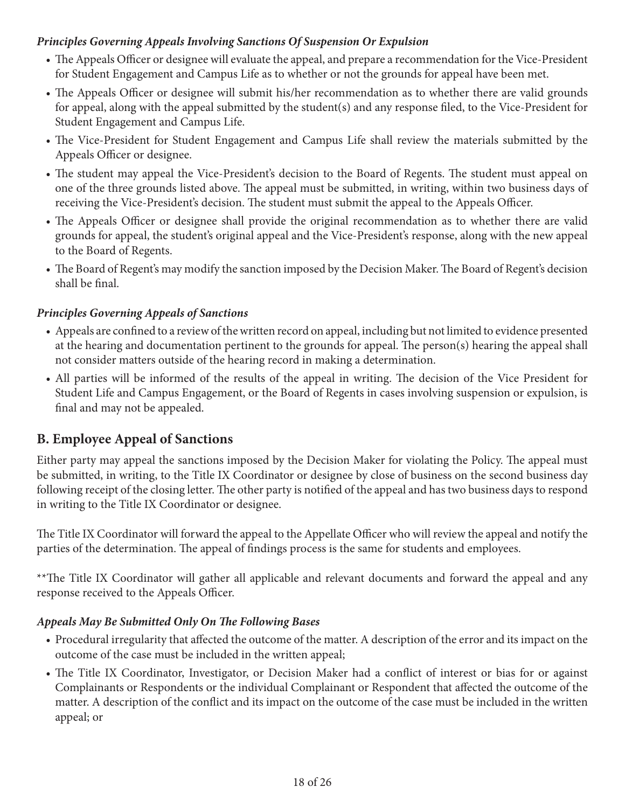#### *Principles Governing Appeals Involving Sanctions Of Suspension Or Expulsion*

- The Appeals Officer or designee will evaluate the appeal, and prepare a recommendation for the Vice-President for Student Engagement and Campus Life as to whether or not the grounds for appeal have been met.
- The Appeals Officer or designee will submit his/her recommendation as to whether there are valid grounds for appeal, along with the appeal submitted by the student(s) and any response filed, to the Vice-President for Student Engagement and Campus Life.
- The Vice-President for Student Engagement and Campus Life shall review the materials submitted by the Appeals Officer or designee.
- The student may appeal the Vice-President's decision to the Board of Regents. The student must appeal on one of the three grounds listed above. The appeal must be submitted, in writing, within two business days of receiving the Vice-President's decision. The student must submit the appeal to the Appeals Officer.
- The Appeals Officer or designee shall provide the original recommendation as to whether there are valid grounds for appeal, the student's original appeal and the Vice-President's response, along with the new appeal to the Board of Regents.
- The Board of Regent's may modify the sanction imposed by the Decision Maker. The Board of Regent's decision shall be final.

#### *Principles Governing Appeals of Sanctions*

- Appeals are confined to a review of the written record on appeal, including but not limited to evidence presented at the hearing and documentation pertinent to the grounds for appeal. The person(s) hearing the appeal shall not consider matters outside of the hearing record in making a determination.
- All parties will be informed of the results of the appeal in writing. The decision of the Vice President for Student Life and Campus Engagement, or the Board of Regents in cases involving suspension or expulsion, is final and may not be appealed.

# **B. Employee Appeal of Sanctions**

Either party may appeal the sanctions imposed by the Decision Maker for violating the Policy. The appeal must be submitted, in writing, to the Title IX Coordinator or designee by close of business on the second business day following receipt of the closing letter. The other party is notified of the appeal and has two business days to respond in writing to the Title IX Coordinator or designee.

The Title IX Coordinator will forward the appeal to the Appellate Officer who will review the appeal and notify the parties of the determination. The appeal of findings process is the same for students and employees.

\*\*The Title IX Coordinator will gather all applicable and relevant documents and forward the appeal and any response received to the Appeals Officer.

#### *Appeals May Be Submitted Only On The Following Bases*

- Procedural irregularity that affected the outcome of the matter. A description of the error and its impact on the outcome of the case must be included in the written appeal;
- The Title IX Coordinator, Investigator, or Decision Maker had a conflict of interest or bias for or against Complainants or Respondents or the individual Complainant or Respondent that affected the outcome of the matter. A description of the conflict and its impact on the outcome of the case must be included in the written appeal; or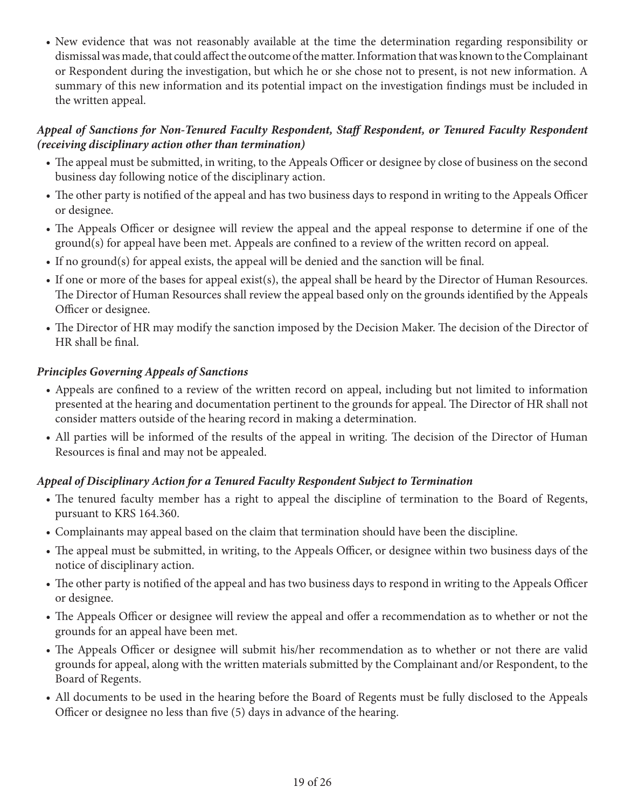• New evidence that was not reasonably available at the time the determination regarding responsibility or dismissal was made, that could affect the outcome of the matter. Information that was known to the Complainant or Respondent during the investigation, but which he or she chose not to present, is not new information. A summary of this new information and its potential impact on the investigation findings must be included in the written appeal.

#### *Appeal of Sanctions for Non-Tenured Faculty Respondent, Staff Respondent, or Tenured Faculty Respondent (receiving disciplinary action other than termination)*

- The appeal must be submitted, in writing, to the Appeals Officer or designee by close of business on the second business day following notice of the disciplinary action.
- The other party is notified of the appeal and has two business days to respond in writing to the Appeals Officer or designee.
- The Appeals Officer or designee will review the appeal and the appeal response to determine if one of the ground(s) for appeal have been met. Appeals are confined to a review of the written record on appeal.
- If no ground(s) for appeal exists, the appeal will be denied and the sanction will be final.
- If one or more of the bases for appeal exist(s), the appeal shall be heard by the Director of Human Resources. The Director of Human Resources shall review the appeal based only on the grounds identified by the Appeals Officer or designee.
- The Director of HR may modify the sanction imposed by the Decision Maker. The decision of the Director of HR shall be final.

#### *Principles Governing Appeals of Sanctions*

- Appeals are confined to a review of the written record on appeal, including but not limited to information presented at the hearing and documentation pertinent to the grounds for appeal. The Director of HR shall not consider matters outside of the hearing record in making a determination.
- All parties will be informed of the results of the appeal in writing. The decision of the Director of Human Resources is final and may not be appealed.

#### *Appeal of Disciplinary Action for a Tenured Faculty Respondent Subject to Termination*

- The tenured faculty member has a right to appeal the discipline of termination to the Board of Regents, pursuant to KRS 164.360.
- Complainants may appeal based on the claim that termination should have been the discipline.
- The appeal must be submitted, in writing, to the Appeals Officer, or designee within two business days of the notice of disciplinary action.
- The other party is notified of the appeal and has two business days to respond in writing to the Appeals Officer or designee.
- The Appeals Officer or designee will review the appeal and offer a recommendation as to whether or not the grounds for an appeal have been met.
- The Appeals Officer or designee will submit his/her recommendation as to whether or not there are valid grounds for appeal, along with the written materials submitted by the Complainant and/or Respondent, to the Board of Regents.
- All documents to be used in the hearing before the Board of Regents must be fully disclosed to the Appeals Officer or designee no less than five (5) days in advance of the hearing.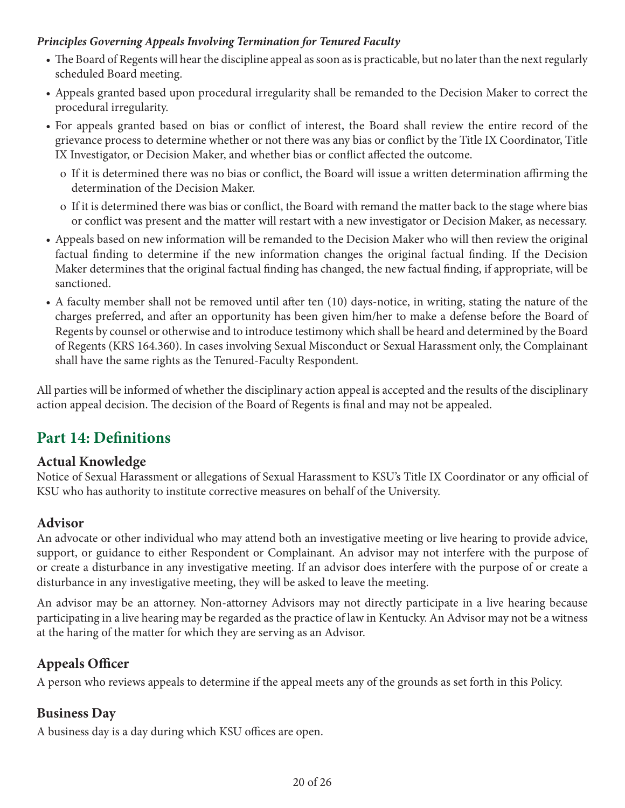#### *Principles Governing Appeals Involving Termination for Tenured Faculty*

- The Board of Regents will hear the discipline appeal as soon as is practicable, but no later than the next regularly scheduled Board meeting.
- Appeals granted based upon procedural irregularity shall be remanded to the Decision Maker to correct the procedural irregularity.
- For appeals granted based on bias or conflict of interest, the Board shall review the entire record of the grievance process to determine whether or not there was any bias or conflict by the Title IX Coordinator, Title IX Investigator, or Decision Maker, and whether bias or conflict affected the outcome.
	- o If it is determined there was no bias or conflict, the Board will issue a written determination affirming the determination of the Decision Maker.
	- o If it is determined there was bias or conflict, the Board with remand the matter back to the stage where bias or conflict was present and the matter will restart with a new investigator or Decision Maker, as necessary.
- Appeals based on new information will be remanded to the Decision Maker who will then review the original factual finding to determine if the new information changes the original factual finding. If the Decision Maker determines that the original factual finding has changed, the new factual finding, if appropriate, will be sanctioned.
- A faculty member shall not be removed until after ten (10) days-notice, in writing, stating the nature of the charges preferred, and after an opportunity has been given him/her to make a defense before the Board of Regents by counsel or otherwise and to introduce testimony which shall be heard and determined by the Board of Regents (KRS 164.360). In cases involving Sexual Misconduct or Sexual Harassment only, the Complainant shall have the same rights as the Tenured-Faculty Respondent.

All parties will be informed of whether the disciplinary action appeal is accepted and the results of the disciplinary action appeal decision. The decision of the Board of Regents is final and may not be appealed.

# **Part 14: Definitions**

# **Actual Knowledge**

Notice of Sexual Harassment or allegations of Sexual Harassment to KSU's Title IX Coordinator or any official of KSU who has authority to institute corrective measures on behalf of the University.

# **Advisor**

An advocate or other individual who may attend both an investigative meeting or live hearing to provide advice, support, or guidance to either Respondent or Complainant. An advisor may not interfere with the purpose of or create a disturbance in any investigative meeting. If an advisor does interfere with the purpose of or create a disturbance in any investigative meeting, they will be asked to leave the meeting.

An advisor may be an attorney. Non-attorney Advisors may not directly participate in a live hearing because participating in a live hearing may be regarded as the practice of law in Kentucky. An Advisor may not be a witness at the haring of the matter for which they are serving as an Advisor.

# **Appeals Officer**

A person who reviews appeals to determine if the appeal meets any of the grounds as set forth in this Policy.

# **Business Day**

A business day is a day during which KSU offices are open.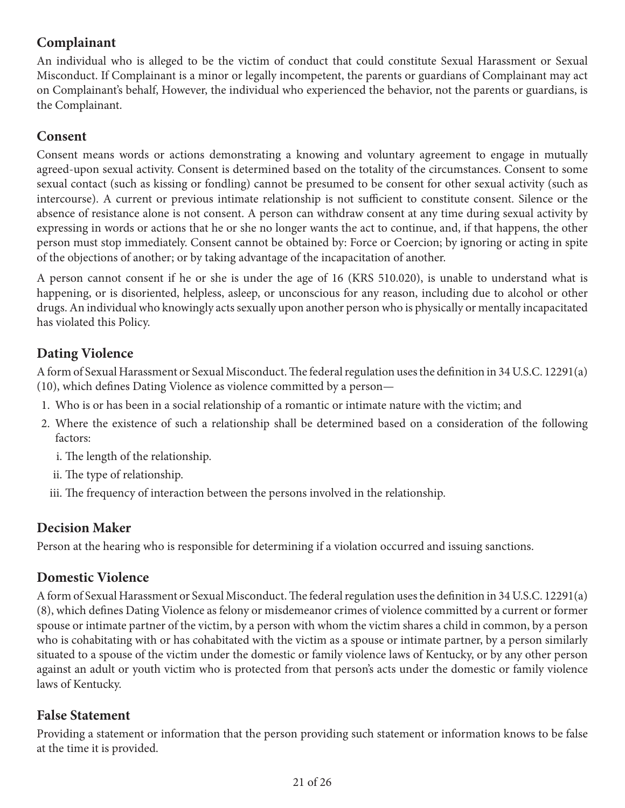# **Complainant**

An individual who is alleged to be the victim of conduct that could constitute Sexual Harassment or Sexual Misconduct. If Complainant is a minor or legally incompetent, the parents or guardians of Complainant may act on Complainant's behalf, However, the individual who experienced the behavior, not the parents or guardians, is the Complainant.

## **Consent**

Consent means words or actions demonstrating a knowing and voluntary agreement to engage in mutually agreed-upon sexual activity. Consent is determined based on the totality of the circumstances. Consent to some sexual contact (such as kissing or fondling) cannot be presumed to be consent for other sexual activity (such as intercourse). A current or previous intimate relationship is not sufficient to constitute consent. Silence or the absence of resistance alone is not consent. A person can withdraw consent at any time during sexual activity by expressing in words or actions that he or she no longer wants the act to continue, and, if that happens, the other person must stop immediately. Consent cannot be obtained by: Force or Coercion; by ignoring or acting in spite of the objections of another; or by taking advantage of the incapacitation of another.

A person cannot consent if he or she is under the age of 16 (KRS 510.020), is unable to understand what is happening, or is disoriented, helpless, asleep, or unconscious for any reason, including due to alcohol or other drugs. An individual who knowingly acts sexually upon another person who is physically or mentally incapacitated has violated this Policy.

# **Dating Violence**

A form of Sexual Harassment or Sexual Misconduct. The federal regulation uses the definition in 34 U.S.C. 12291(a) (10), which defines Dating Violence as violence committed by a person—

- 1. Who is or has been in a social relationship of a romantic or intimate nature with the victim; and
- 2. Where the existence of such a relationship shall be determined based on a consideration of the following factors:
	- i. The length of the relationship.
	- ii. The type of relationship.
	- iii. The frequency of interaction between the persons involved in the relationship.

# **Decision Maker**

Person at the hearing who is responsible for determining if a violation occurred and issuing sanctions.

# **Domestic Violence**

A form of Sexual Harassment or Sexual Misconduct. The federal regulation uses the definition in 34 U.S.C. 12291(a) (8), which defines Dating Violence as felony or misdemeanor crimes of violence committed by a current or former spouse or intimate partner of the victim, by a person with whom the victim shares a child in common, by a person who is cohabitating with or has cohabitated with the victim as a spouse or intimate partner, by a person similarly situated to a spouse of the victim under the domestic or family violence laws of Kentucky, or by any other person against an adult or youth victim who is protected from that person's acts under the domestic or family violence laws of Kentucky.

# **False Statement**

Providing a statement or information that the person providing such statement or information knows to be false at the time it is provided.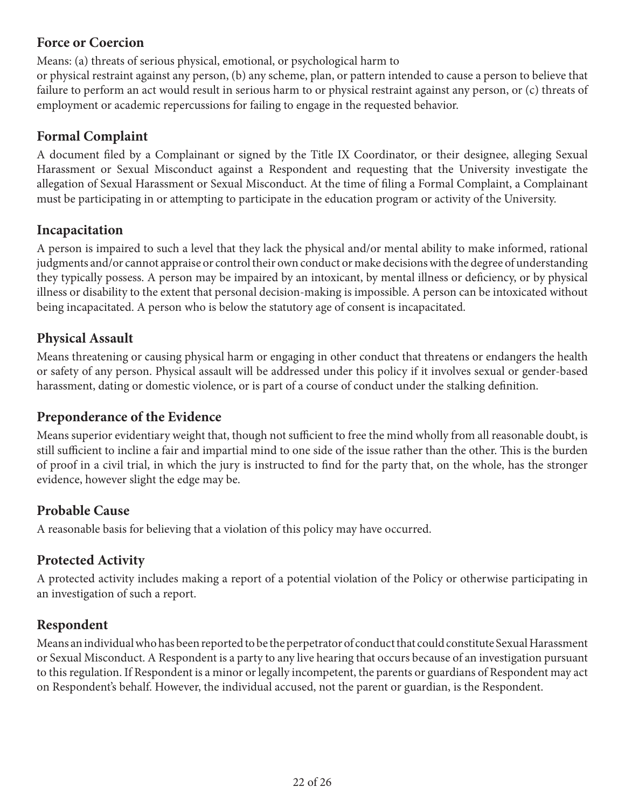## **Force or Coercion**

Means: (a) threats of serious physical, emotional, or psychological harm to

or physical restraint against any person, (b) any scheme, plan, or pattern intended to cause a person to believe that failure to perform an act would result in serious harm to or physical restraint against any person, or (c) threats of employment or academic repercussions for failing to engage in the requested behavior.

## **Formal Complaint**

A document filed by a Complainant or signed by the Title IX Coordinator, or their designee, alleging Sexual Harassment or Sexual Misconduct against a Respondent and requesting that the University investigate the allegation of Sexual Harassment or Sexual Misconduct. At the time of filing a Formal Complaint, a Complainant must be participating in or attempting to participate in the education program or activity of the University.

## **Incapacitation**

A person is impaired to such a level that they lack the physical and/or mental ability to make informed, rational judgments and/or cannot appraise or control their own conduct or make decisions with the degree of understanding they typically possess. A person may be impaired by an intoxicant, by mental illness or deficiency, or by physical illness or disability to the extent that personal decision-making is impossible. A person can be intoxicated without being incapacitated. A person who is below the statutory age of consent is incapacitated.

# **Physical Assault**

Means threatening or causing physical harm or engaging in other conduct that threatens or endangers the health or safety of any person. Physical assault will be addressed under this policy if it involves sexual or gender-based harassment, dating or domestic violence, or is part of a course of conduct under the stalking definition.

## **Preponderance of the Evidence**

Means superior evidentiary weight that, though not sufficient to free the mind wholly from all reasonable doubt, is still sufficient to incline a fair and impartial mind to one side of the issue rather than the other. This is the burden of proof in a civil trial, in which the jury is instructed to find for the party that, on the whole, has the stronger evidence, however slight the edge may be.

## **Probable Cause**

A reasonable basis for believing that a violation of this policy may have occurred.

# **Protected Activity**

A protected activity includes making a report of a potential violation of the Policy or otherwise participating in an investigation of such a report.

## **Respondent**

Means an individual who has been reported to be the perpetrator of conduct that could constitute Sexual Harassment or Sexual Misconduct. A Respondent is a party to any live hearing that occurs because of an investigation pursuant to this regulation. If Respondent is a minor or legally incompetent, the parents or guardians of Respondent may act on Respondent's behalf. However, the individual accused, not the parent or guardian, is the Respondent.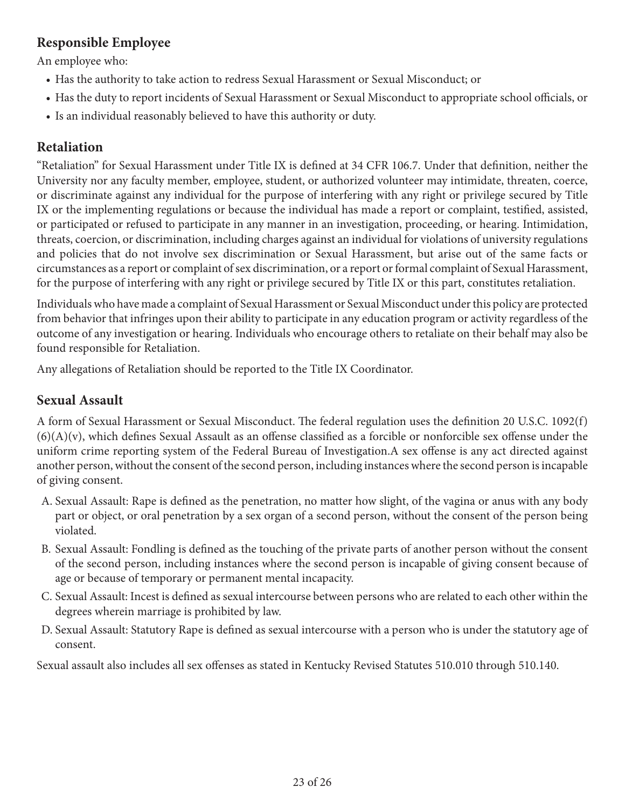## **Responsible Employee**

An employee who:

- Has the authority to take action to redress Sexual Harassment or Sexual Misconduct; or
- Has the duty to report incidents of Sexual Harassment or Sexual Misconduct to appropriate school officials, or
- Is an individual reasonably believed to have this authority or duty.

## **Retaliation**

"Retaliation" for Sexual Harassment under Title IX is defined at 34 CFR 106.7. Under that definition, neither the University nor any faculty member, employee, student, or authorized volunteer may intimidate, threaten, coerce, or discriminate against any individual for the purpose of interfering with any right or privilege secured by Title IX or the implementing regulations or because the individual has made a report or complaint, testified, assisted, or participated or refused to participate in any manner in an investigation, proceeding, or hearing. Intimidation, threats, coercion, or discrimination, including charges against an individual for violations of university regulations and policies that do not involve sex discrimination or Sexual Harassment, but arise out of the same facts or circumstances as a report or complaint of sex discrimination, or a report or formal complaint of Sexual Harassment, for the purpose of interfering with any right or privilege secured by Title IX or this part, constitutes retaliation.

Individuals who have made a complaint of Sexual Harassment or Sexual Misconduct under this policy are protected from behavior that infringes upon their ability to participate in any education program or activity regardless of the outcome of any investigation or hearing. Individuals who encourage others to retaliate on their behalf may also be found responsible for Retaliation.

Any allegations of Retaliation should be reported to the Title IX Coordinator.

## **Sexual Assault**

A form of Sexual Harassment or Sexual Misconduct. The federal regulation uses the definition 20 U.S.C. 1092(f)  $(6)(A)(v)$ , which defines Sexual Assault as an offense classified as a forcible or nonforcible sex offense under the uniform crime reporting system of the Federal Bureau of Investigation.A sex offense is any act directed against another person, without the consent of the second person, including instances where the second person is incapable of giving consent.

- A. Sexual Assault: Rape is defined as the penetration, no matter how slight, of the vagina or anus with any body part or object, or oral penetration by a sex organ of a second person, without the consent of the person being violated.
- B. Sexual Assault: Fondling is defined as the touching of the private parts of another person without the consent of the second person, including instances where the second person is incapable of giving consent because of age or because of temporary or permanent mental incapacity.
- C. Sexual Assault: Incest is defined as sexual intercourse between persons who are related to each other within the degrees wherein marriage is prohibited by law.
- D. Sexual Assault: Statutory Rape is defined as sexual intercourse with a person who is under the statutory age of consent.

Sexual assault also includes all sex offenses as stated in Kentucky Revised Statutes 510.010 through 510.140.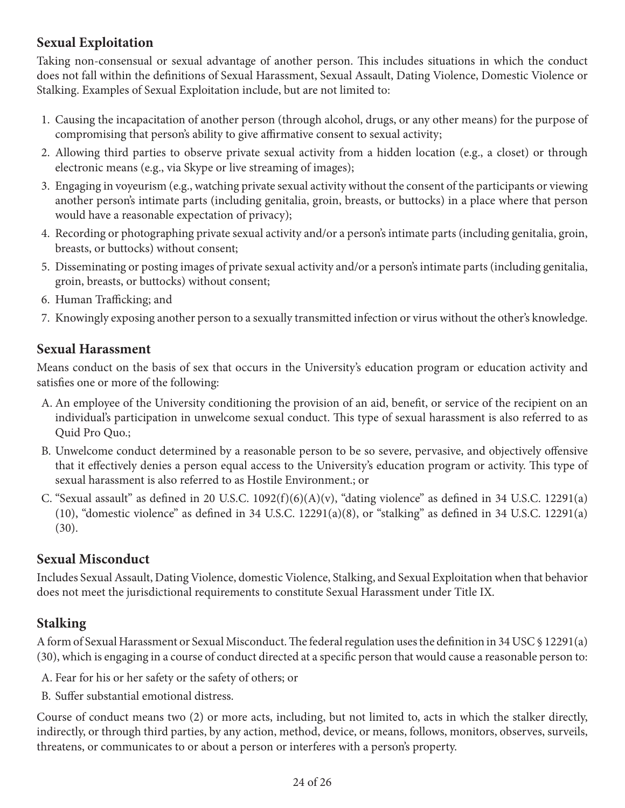# **Sexual Exploitation**

Taking non-consensual or sexual advantage of another person. This includes situations in which the conduct does not fall within the definitions of Sexual Harassment, Sexual Assault, Dating Violence, Domestic Violence or Stalking. Examples of Sexual Exploitation include, but are not limited to:

- 1. Causing the incapacitation of another person (through alcohol, drugs, or any other means) for the purpose of compromising that person's ability to give affirmative consent to sexual activity;
- 2. Allowing third parties to observe private sexual activity from a hidden location (e.g., a closet) or through electronic means (e.g., via Skype or live streaming of images);
- 3. Engaging in voyeurism (e.g., watching private sexual activity without the consent of the participants or viewing another person's intimate parts (including genitalia, groin, breasts, or buttocks) in a place where that person would have a reasonable expectation of privacy);
- 4. Recording or photographing private sexual activity and/or a person's intimate parts (including genitalia, groin, breasts, or buttocks) without consent;
- 5. Disseminating or posting images of private sexual activity and/or a person's intimate parts (including genitalia, groin, breasts, or buttocks) without consent;
- 6. Human Trafficking; and
- 7. Knowingly exposing another person to a sexually transmitted infection or virus without the other's knowledge.

## **Sexual Harassment**

Means conduct on the basis of sex that occurs in the University's education program or education activity and satisfies one or more of the following:

- A. An employee of the University conditioning the provision of an aid, benefit, or service of the recipient on an individual's participation in unwelcome sexual conduct. This type of sexual harassment is also referred to as Quid Pro Quo.;
- B. Unwelcome conduct determined by a reasonable person to be so severe, pervasive, and objectively offensive that it effectively denies a person equal access to the University's education program or activity. This type of sexual harassment is also referred to as Hostile Environment.; or
- C. "Sexual assault" as defined in 20 U.S.C.  $1092(f)(6)(A)(v)$ , "dating violence" as defined in 34 U.S.C. 12291(a) (10), "domestic violence" as defined in 34 U.S.C. 12291(a)(8), or "stalking" as defined in 34 U.S.C. 12291(a) (30).

## **Sexual Misconduct**

Includes Sexual Assault, Dating Violence, domestic Violence, Stalking, and Sexual Exploitation when that behavior does not meet the jurisdictional requirements to constitute Sexual Harassment under Title IX.

## **Stalking**

A form of Sexual Harassment or Sexual Misconduct. The federal regulation uses the definition in 34 USC § 12291(a) (30), which is engaging in a course of conduct directed at a specific person that would cause a reasonable person to:

A. Fear for his or her safety or the safety of others; or

B. Suffer substantial emotional distress.

Course of conduct means two (2) or more acts, including, but not limited to, acts in which the stalker directly, indirectly, or through third parties, by any action, method, device, or means, follows, monitors, observes, surveils, threatens, or communicates to or about a person or interferes with a person's property.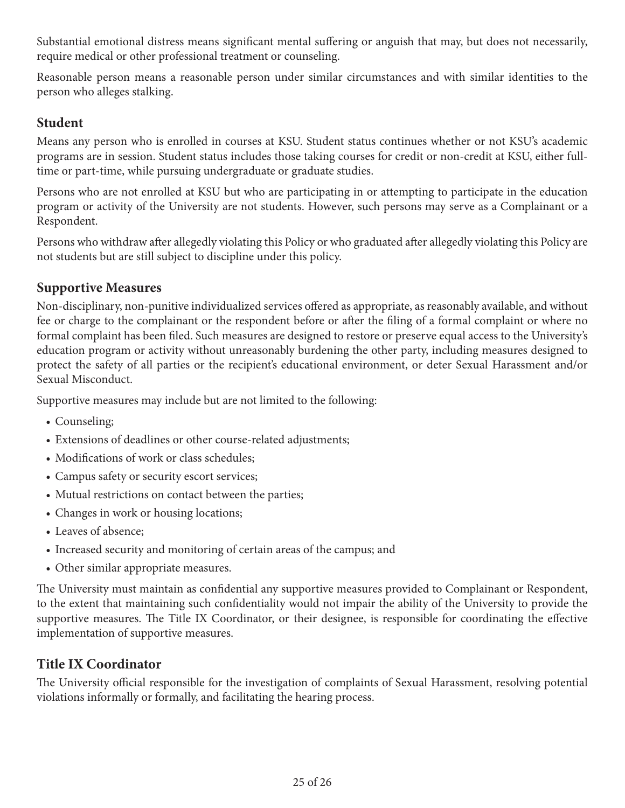Substantial emotional distress means significant mental suffering or anguish that may, but does not necessarily, require medical or other professional treatment or counseling.

Reasonable person means a reasonable person under similar circumstances and with similar identities to the person who alleges stalking.

## **Student**

Means any person who is enrolled in courses at KSU. Student status continues whether or not KSU's academic programs are in session. Student status includes those taking courses for credit or non-credit at KSU, either fulltime or part-time, while pursuing undergraduate or graduate studies.

Persons who are not enrolled at KSU but who are participating in or attempting to participate in the education program or activity of the University are not students. However, such persons may serve as a Complainant or a Respondent.

Persons who withdraw after allegedly violating this Policy or who graduated after allegedly violating this Policy are not students but are still subject to discipline under this policy.

## **Supportive Measures**

Non-disciplinary, non-punitive individualized services offered as appropriate, as reasonably available, and without fee or charge to the complainant or the respondent before or after the filing of a formal complaint or where no formal complaint has been filed. Such measures are designed to restore or preserve equal access to the University's education program or activity without unreasonably burdening the other party, including measures designed to protect the safety of all parties or the recipient's educational environment, or deter Sexual Harassment and/or Sexual Misconduct.

Supportive measures may include but are not limited to the following:

- Counseling;
- Extensions of deadlines or other course-related adjustments;
- Modifications of work or class schedules;
- Campus safety or security escort services;
- Mutual restrictions on contact between the parties;
- Changes in work or housing locations;
- Leaves of absence;
- Increased security and monitoring of certain areas of the campus; and
- Other similar appropriate measures.

The University must maintain as confidential any supportive measures provided to Complainant or Respondent, to the extent that maintaining such confidentiality would not impair the ability of the University to provide the supportive measures. The Title IX Coordinator, or their designee, is responsible for coordinating the effective implementation of supportive measures.

# **Title IX Coordinator**

The University official responsible for the investigation of complaints of Sexual Harassment, resolving potential violations informally or formally, and facilitating the hearing process.